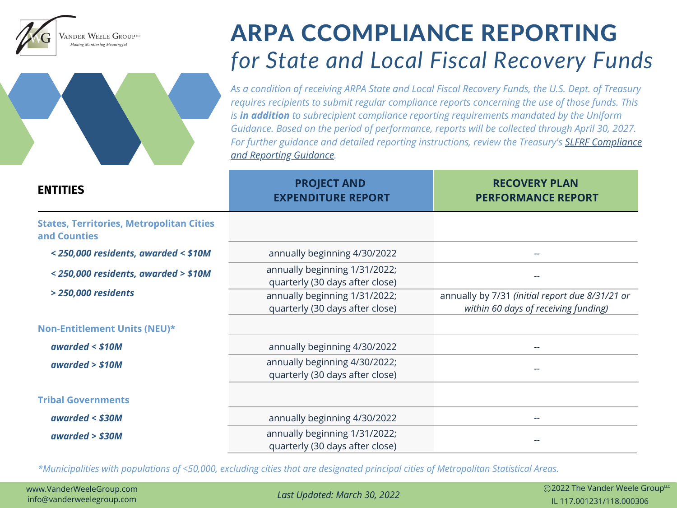

nder Weele Group<sup>hic</sup> .<br>Making Monitoring Meaning fi

## ARPA CCOMPLIANCE REPORTING *for State and Local Fiscal Recovery Funds*

*As a condition of receiving ARPA State and Local Fiscal Recovery Funds, the U.S. Dept. of Treasury requires recipients to submit regular compliance reports concerning the use of those funds. This is in addition to subrecipient compliance reporting requirements mandated by the Uniform Guidance. Based on the period of performance, reports will be collected through April 30, 2027. For further guidance and detailed reporting [instructions,](https://home.treasury.gov/system/files/136/SLFRF-Compliance-and-Reporting-Guidance.pdf) review the Treasury's SLFRF Compliance and Reporting Guidance.*

| <b>ENTITIES</b>                                                 | <b>PROJECT AND</b><br><b>EXPENDITURE REPORT</b>                  | <b>RECOVERY PLAN</b><br><b>PERFORMANCE REPORT</b>                                       |
|-----------------------------------------------------------------|------------------------------------------------------------------|-----------------------------------------------------------------------------------------|
| <b>States, Territories, Metropolitan Cities</b><br>and Counties |                                                                  |                                                                                         |
| $<$ 250,000 residents, awarded $<$ \$10M                        | annually beginning 4/30/2022                                     |                                                                                         |
| $<$ 250,000 residents, awarded $>$ \$10M                        | annually beginning 1/31/2022;<br>quarterly (30 days after close) |                                                                                         |
| > 250,000 residents                                             | annually beginning 1/31/2022;<br>quarterly (30 days after close) | annually by 7/31 (initial report due 8/31/21 or<br>within 60 days of receiving funding) |
| <b>Non-Entitlement Units (NEU)*</b>                             |                                                                  |                                                                                         |
| awarded $<$ \$10M                                               | annually beginning 4/30/2022                                     | --                                                                                      |
| awarded $> $10M$                                                | annually beginning 4/30/2022;<br>quarterly (30 days after close) |                                                                                         |
| <b>Tribal Governments</b>                                       |                                                                  |                                                                                         |
| $awarded <$ \$30M                                               | annually beginning 4/30/2022                                     | --                                                                                      |
| awarded > \$30M                                                 | annually beginning 1/31/2022;<br>quarterly (30 days after close) |                                                                                         |

\*Municipalities with populations of <50,000, excluding cities that are designated principal cities of Metropolitan Statistical Areas.

www.VanderWeeleGroup.com info@vanderweelegroup.com

*Last Updated: March 30, 2022*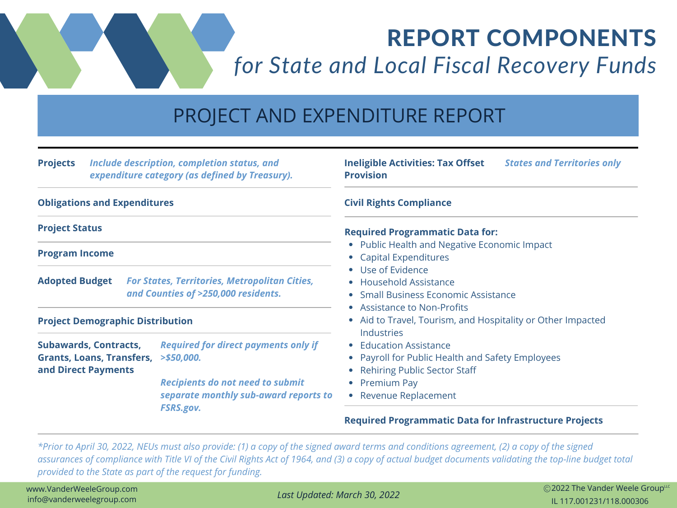# REPORT COMPONENTS *for State and Local Fiscal Recovery Funds*

### PROJECT AND EXPENDITURE REPORT

#### **Projects** *Include description, completion status, and expenditure category (as defined by Treasury).* **Obligations and Expenditures Project Status Program Income Adopted Budget** *For States, Territories, Metropolitan Cities, and Counties of >250,000 residents.* **Project Demographic Distribution Subawards, Contracts, Grants, Loans, Transfers,** *>\$50,000.* **and Direct Payments** *Required for direct payments only if Recipients do not need to submit separate monthly sub-award reports to FSRS.gov.* **Civil Rights Compliance Ineligible Activities: Tax Offset Provision** *States and Territories only* • Public Health and Negative Economic Impact Capital Expenditures Use of Evidence Household Assistance • Small Business Economic Assistance Assistance to Non-Profits Aid to Travel, Tourism, and Hospitality or Other Impacted Industries • Education Assistance Payroll for Public Health and Safety Employees Rehiring Public Sector Staff • Premium Pay • Revenue Replacement **Required Programmatic Data for: Required Programmatic Data for Infrastructure Projects**

\*Prior to April 30, 2022, NEUs must also provide: (1) a copy of the signed award terms and conditions agreement, (2) a copy of the signed assurances of compliance with Title VI of the Civil Rights Act of 1964, and (3) a copy of actual budget documents validating the top-line budget total *provided to the State as part of the request for funding.*

info@vanderweelegroup.com

*Last Updated: March 30, 2022*

ست ستة بين المسابق المسلم المسلم المسلم المسلم المسلم المسلم المسلم المسلم المسلم المسلم المسلم المسلم المسلم المسلم المسلم المسلم المسلم المسلم المسلم المسلم المسلم المسلم المسلم المسلم المسلم المسلم المسلم المسلم المسل IL 117.001231/118.000306